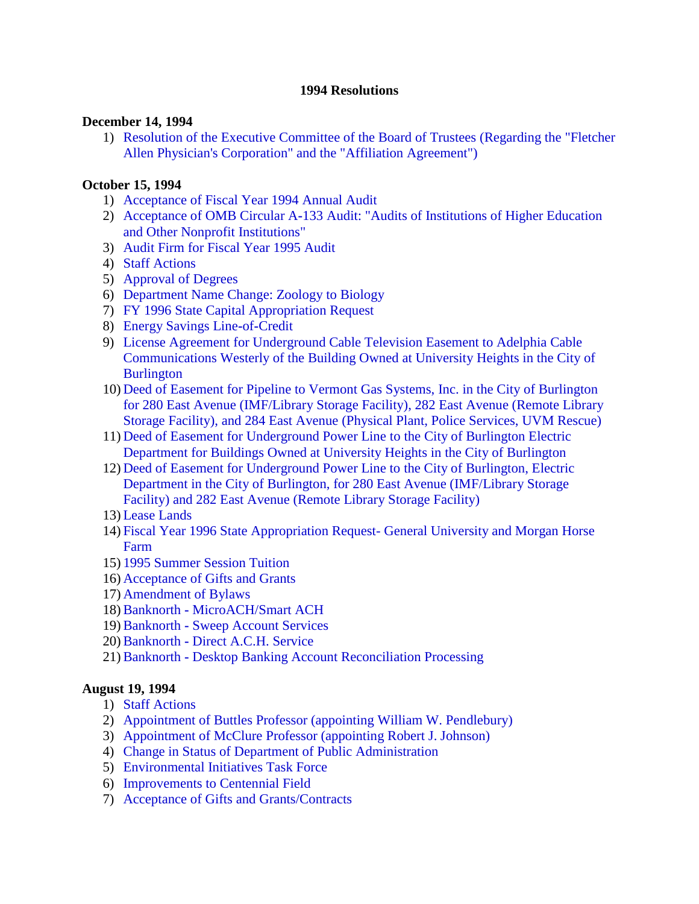#### **1994 Resolutions**

#### **December 14, 1994**

1) [Resolution of the Executive Committee of the Board of Trustees \(Regarding the "Fletcher](#page-2-0) Allen Physician's Corporation" and the "Affiliation Agreement")

### **October 15, 1994**

- 1) [Acceptance of Fiscal Year 1994 Annual Audit](#page-3-0)
- 2) Acceptance of OMB Circular A**-**[133 Audit: "Audits of Institutions of Higher Education](#page-3-0)  and Other Nonprofit Institutions"
- 3) [Audit Firm for Fiscal Year 1995 Audit](#page-3-0)
- 4) [Staff Actions](#page-4-0)
- 5) [Approval of Degrees](#page-4-0)
- 6) [Department Name Change: Zoology to Biology](#page-4-0)
- 7) [FY 1996 State Capital Appropriation Request](#page-4-0)
- 8) [Energy Savings Line](#page-4-0)**-**of**-**Credit
- 9) License Agreement for Underground Cable Television Easement to Adelphia Cable [Communications Westerly of the Building Owned at University Heights in the City of](#page-5-0)  **Burlington**
- 10) Deed of Easement for Pipeline to Vermont Gas Systems, Inc. in the City of Burlington [for 280 East Avenue \(IMF/Library Storage Facility\), 282 East Avenue \(Remote Library](#page-5-0)  Storage Facility), and 284 East Avenue (Physical Plant, Police Services, UVM Rescue)
- 11) Deed of Easement for Underground Power Line to the City of Burlington Electric [Department for Buildings Owned at University Heights in the City of Burlington](#page-6-0)
- 12) Deed of Easement for Underground Power Line to the City of Burlington, Electric [Department in the City of Burlington, for 280 East Avenue \(IMF/Library Storage](#page-6-0)  Facility) and 282 East Avenue (Remote Library Storage Facility)
- 13) [Lease Lands](#page-6-0)
- 14) [Fiscal Year 1996 State Appropriation Request-](#page-8-0) General University and Morgan Horse Farm
- 15) [1995 Summer Session Tuition](#page-8-0)
- 16) [Acceptance of Gifts and Grants](#page-8-0)
- 17) [Amendment of Bylaws](#page-8-0)
- 18)Banknorth **-** [MicroACH/Smart ACH](#page-9-0)
- 19)Banknorth **-** [Sweep Account Services](#page-9-0)
- 20)Banknorth **-** [Direct A.C.H. Service](#page-9-0)
- 21)Banknorth **-** [Desktop Banking Account Reconciliation Processing](#page-10-0)

### **August 19, 1994**

- 1) [Staff Actions](#page-11-0)
- 2) [Appointment of Buttles Professor \(appointing William W. Pendlebury\)](#page-11-0)
- 3) [Appointment of McClure Professor \(appointing Robert J. Johnson\)](#page-11-0)
- 4) [Change in Status of Department of Public Administration](#page-11-0)
- 5) [Environmental Initiatives Task Force](#page-11-0)
- 6) [Improvements to Centennial Field](#page-11-0)
- 7) [Acceptance of Gifts and Grants/Contracts](#page-12-0)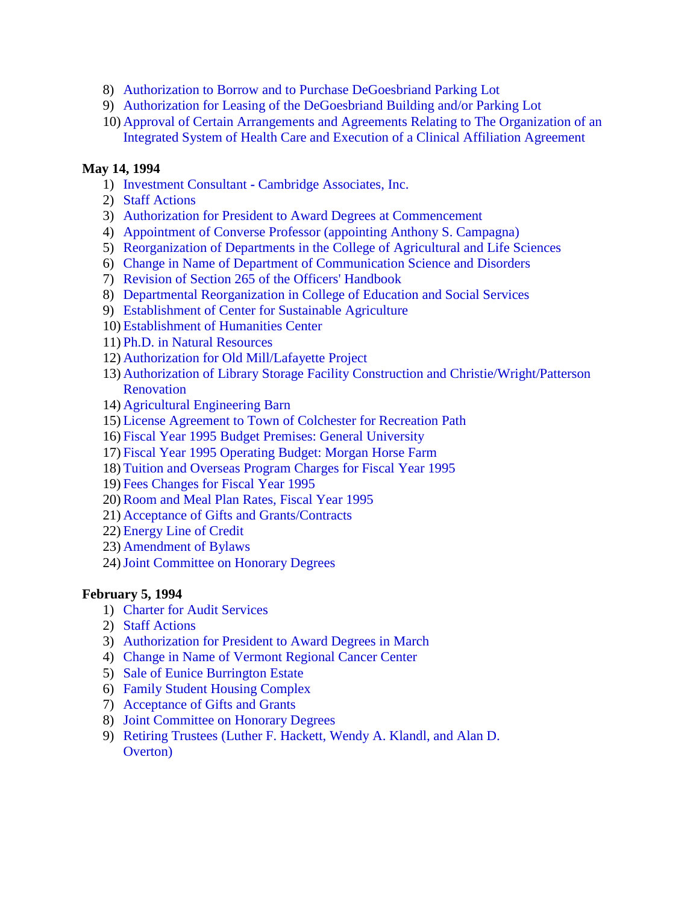- 8) Authorization to [Borrow and to Purchase DeGoesbriand Parking Lot](#page-12-0)
- 9) [Authorization for Leasing of the DeGoesbriand Building and/or Parking Lot](#page-13-0)
- 10) Approval of Certain Arrangements and Agreements Relating to The Organization of an [Integrated System of Health Care and Execution of a Clinical Affiliation Agreement](#page-14-0)

# **May 14, 1994**

- 1) Investment Consultant **-** [Cambridge Associates, Inc.](#page-17-0)
- 2) [Staff Actions](#page-17-0)
- 3) [Authorization for President to Award Degrees at Commencement](#page-17-0)
- 4) [Appointment of Converse Professor \(appointing Anthony S. Campagna\)](#page-17-0)
- 5) [Reorganization of Departments in the College of Agricultural and Life Sciences](#page-17-0)
- 6) [Change in Name of Department of Communication Science and Disorders](#page-18-0)
- 7) [Revision of Section 265 of the Officers' Handbook](#page-18-0)
- 8) [Departmental Reorganization in College of Education and Social Services](#page-18-0)
- 9) [Establishment of Center for Sustainable Agriculture](#page-18-0)
- 10) [Establishment of Humanities Center](#page-18-0)
- 11) [Ph.D. in Natural Resources](#page-18-0)
- 12) [Authorization for Old Mill/Lafayette Project](#page-19-0)
- 13) [Authorization of Library Storage Facility Construction and](#page-19-0) Christie/Wright/Patterson **Renovation**
- 14) [Agricultural Engineering Barn](#page-20-0)
- 15) [License Agreement to Town of Colchester for Recreation Path](#page-20-0)
- 16) [Fiscal Year 1995 Budget Premises: General University](#page-21-0)
- 17) [Fiscal Year 1995 Operating Budget: Morgan Horse Farm](#page-21-0)
- 18) [Tuition and Overseas Program Charges for Fiscal Year 1995](#page-21-0)
- 19) [Fees Changes for Fiscal Year 1995](#page-22-0)
- 20)[Room and Meal Plan Rates, Fiscal Year 1995](#page-22-0)
- 21) [Acceptance of Gifts and Grants/Contracts](#page-22-0)
- 22) [Energy Line of Credit](#page-22-0)
- 23) [Amendment of Bylaws](#page-22-0)
- 24)[Joint Committee on Honorary Degrees](#page-23-0)

### **February 5, 1994**

- 1) [Charter for Audit Services](#page-24-0)
- 2) [Staff Actions](#page-24-0)
- 3) [Authorization for President to Award Degrees in March](#page-24-0)
- 4) [Change in Name of Vermont Regional Cancer Center](#page-24-0)
- 5) [Sale of Eunice Burrington Estate](#page-24-0)
- 6) [Family Student Housing Complex](#page-25-0)
- 7) [Acceptance of Gifts and Grants](#page-25-0)
- 8) [Joint Committee on Honorary Degrees](#page-25-0)
- 9) Retiring Trustees [\(Luther F. Hackett, Wendy A. Klandl, and Alan D.](#page-26-0) Overton)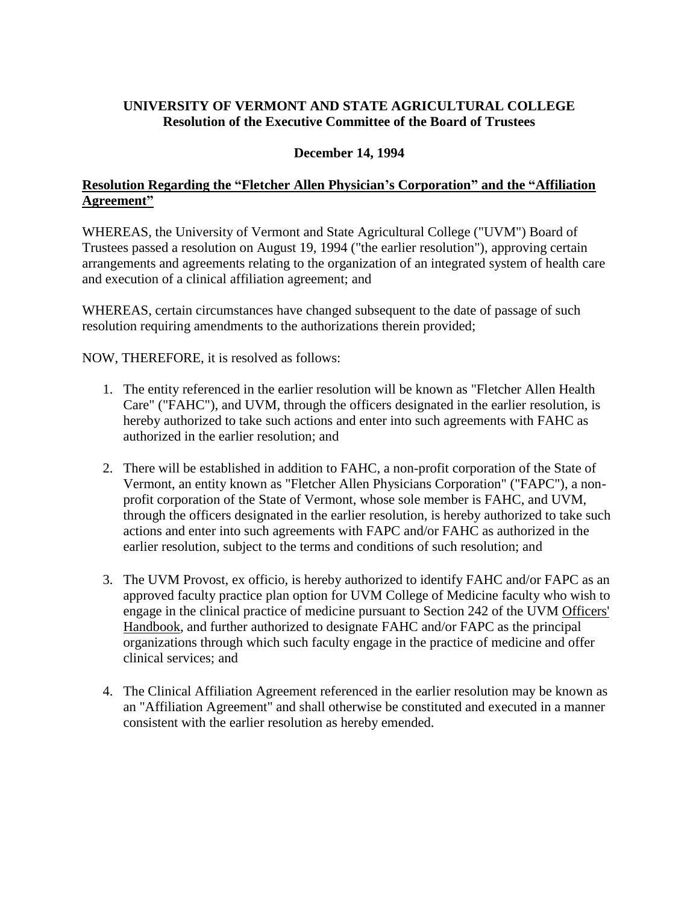# <span id="page-2-0"></span>**UNIVERSITY OF VERMONT AND STATE AGRICULTURAL COLLEGE Resolution of the Executive Committee of the Board of Trustees**

## **December 14, 1994**

# **Resolution Regarding the "Fletcher Allen Physician's Corporation" and the "Affiliation Agreement"**

WHEREAS, the University of Vermont and State Agricultural College ("UVM") Board of Trustees passed a resolution on August 19, 1994 ("the earlier resolution"), approving certain arrangements and agreements relating to the organization of an integrated system of health care and execution of a clinical affiliation agreement; and

WHEREAS, certain circumstances have changed subsequent to the date of passage of such resolution requiring amendments to the authorizations therein provided;

NOW, THEREFORE, it is resolved as follows:

- 1. The entity referenced in the earlier resolution will be known as "Fletcher Allen Health Care" ("FAHC"), and UVM, through the officers designated in the earlier resolution, is hereby authorized to take such actions and enter into such agreements with FAHC as authorized in the earlier resolution; and
- 2. There will be established in addition to FAHC, a non-profit corporation of the State of Vermont, an entity known as "Fletcher Allen Physicians Corporation" ("FAPC"), a nonprofit corporation of the State of Vermont, whose sole member is FAHC, and UVM, through the officers designated in the earlier resolution, is hereby authorized to take such actions and enter into such agreements with FAPC and/or FAHC as authorized in the earlier resolution, subject to the terms and conditions of such resolution; and
- 3. The UVM Provost, ex officio, is hereby authorized to identify FAHC and/or FAPC as an approved faculty practice plan option for UVM College of Medicine faculty who wish to engage in the clinical practice of medicine pursuant to Section 242 of the UVM Officers' Handbook, and further authorized to designate FAHC and/or FAPC as the principal organizations through which such faculty engage in the practice of medicine and offer clinical services; and
- 4. The Clinical Affiliation Agreement referenced in the earlier resolution may be known as an "Affiliation Agreement" and shall otherwise be constituted and executed in a manner consistent with the earlier resolution as hereby emended.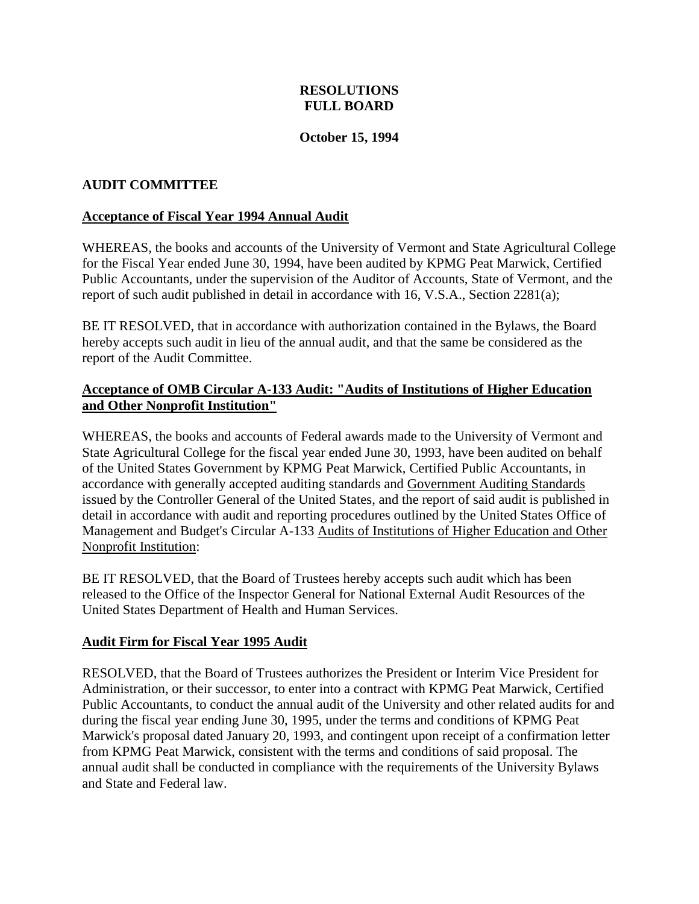# **RESOLUTIONS FULL BOARD**

### **October 15, 1994**

### <span id="page-3-0"></span>**AUDIT COMMITTEE**

### **Acceptance of Fiscal Year 1994 Annual Audit**

WHEREAS, the books and accounts of the University of Vermont and State Agricultural College for the Fiscal Year ended June 30, 1994, have been audited by KPMG Peat Marwick, Certified Public Accountants, under the supervision of the Auditor of Accounts, State of Vermont, and the report of such audit published in detail in accordance with 16, V.S.A., Section 2281(a);

BE IT RESOLVED, that in accordance with authorization contained in the Bylaws, the Board hereby accepts such audit in lieu of the annual audit, and that the same be considered as the report of the Audit Committee.

## **Acceptance of OMB Circular A-133 Audit: "Audits of Institutions of Higher Education and Other Nonprofit Institution"**

WHEREAS, the books and accounts of Federal awards made to the University of Vermont and State Agricultural College for the fiscal year ended June 30, 1993, have been audited on behalf of the United States Government by KPMG Peat Marwick, Certified Public Accountants, in accordance with generally accepted auditing standards and Government Auditing Standards issued by the Controller General of the United States, and the report of said audit is published in detail in accordance with audit and reporting procedures outlined by the United States Office of Management and Budget's Circular A-133 Audits of Institutions of Higher Education and Other Nonprofit Institution:

BE IT RESOLVED, that the Board of Trustees hereby accepts such audit which has been released to the Office of the Inspector General for National External Audit Resources of the United States Department of Health and Human Services.

### **Audit Firm for Fiscal Year 1995 Audit**

RESOLVED, that the Board of Trustees authorizes the President or Interim Vice President for Administration, or their successor, to enter into a contract with KPMG Peat Marwick, Certified Public Accountants, to conduct the annual audit of the University and other related audits for and during the fiscal year ending June 30, 1995, under the terms and conditions of KPMG Peat Marwick's proposal dated January 20, 1993, and contingent upon receipt of a confirmation letter from KPMG Peat Marwick, consistent with the terms and conditions of said proposal. The annual audit shall be conducted in compliance with the requirements of the University Bylaws and State and Federal law.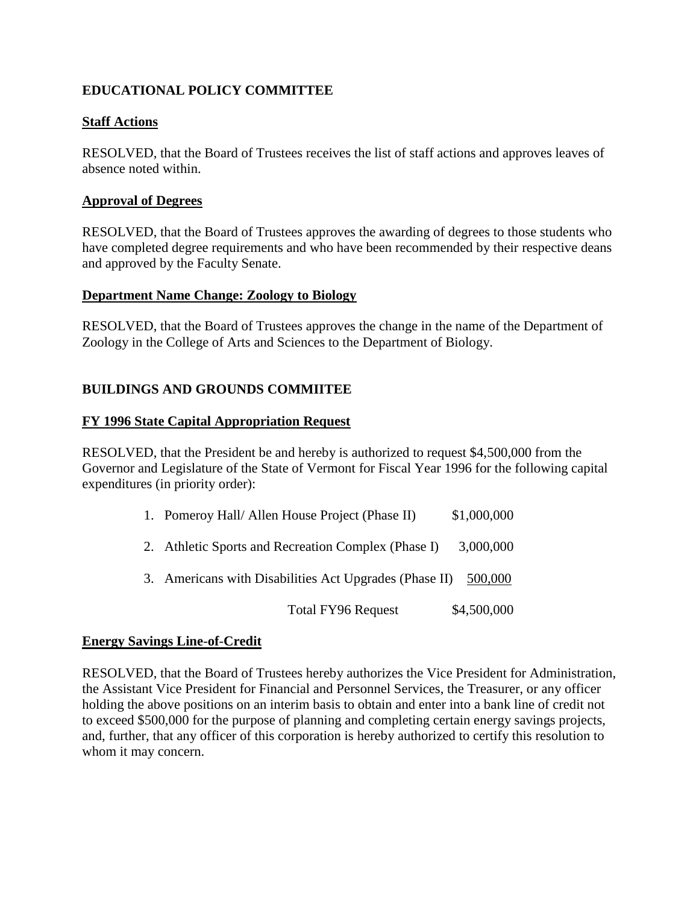# <span id="page-4-0"></span>**EDUCATIONAL POLICY COMMITTEE**

# **Staff Actions**

RESOLVED, that the Board of Trustees receives the list of staff actions and approves leaves of absence noted within.

### **Approval of Degrees**

RESOLVED, that the Board of Trustees approves the awarding of degrees to those students who have completed degree requirements and who have been recommended by their respective deans and approved by the Faculty Senate.

### **Department Name Change: Zoology to Biology**

RESOLVED, that the Board of Trustees approves the change in the name of the Department of Zoology in the College of Arts and Sciences to the Department of Biology.

# **BUILDINGS AND GROUNDS COMMIITEE**

### **FY 1996 State Capital Appropriation Request**

RESOLVED, that the President be and hereby is authorized to request \$4,500,000 from the Governor and Legislature of the State of Vermont for Fiscal Year 1996 for the following capital expenditures (in priority order):

| 1. Pomeroy Hall/ Allen House Project (Phase II)                | \$1,000,000 |
|----------------------------------------------------------------|-------------|
| 2. Athletic Sports and Recreation Complex (Phase I)            | 3,000,000   |
| 3. Americans with Disabilities Act Upgrades (Phase II) 500,000 |             |
| <b>Total FY96 Request</b>                                      | \$4,500,000 |

### **Energy Savings Line**-**of**-**Credit**

RESOLVED, that the Board of Trustees hereby authorizes the Vice President for Administration, the Assistant Vice President for Financial and Personnel Services, the Treasurer, or any officer holding the above positions on an interim basis to obtain and enter into a bank line of credit not to exceed \$500,000 for the purpose of planning and completing certain energy savings projects, and, further, that any officer of this corporation is hereby authorized to certify this resolution to whom it may concern.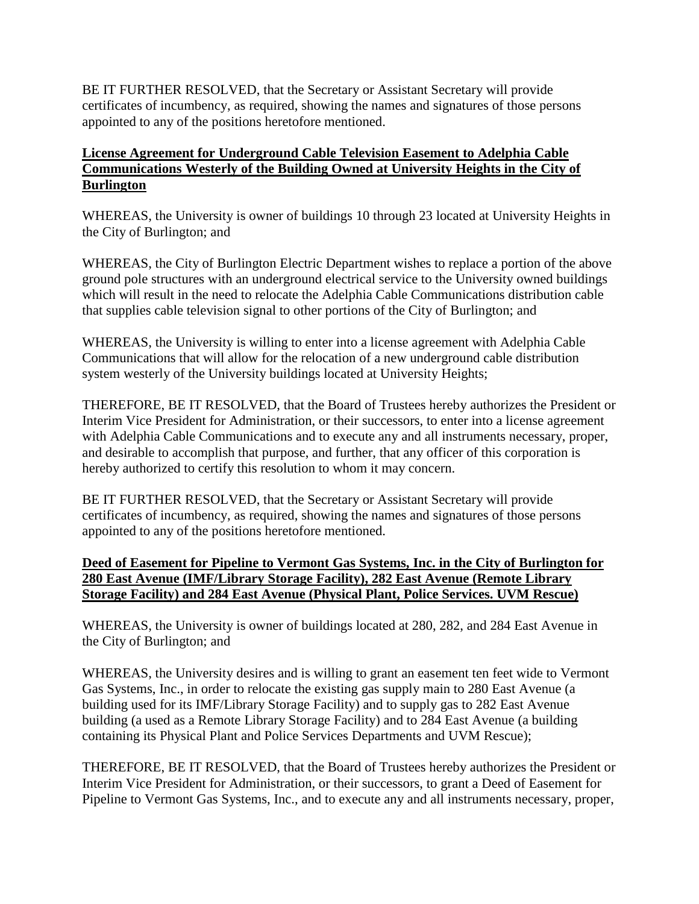<span id="page-5-0"></span>BE IT FURTHER RESOLVED, that the Secretary or Assistant Secretary will provide certificates of incumbency, as required, showing the names and signatures of those persons appointed to any of the positions heretofore mentioned.

# **License Agreement for Underground Cable Television Easement to Adelphia Cable Communications Westerly of the Building Owned at University Heights in the City of Burlington**

WHEREAS, the University is owner of buildings 10 through 23 located at University Heights in the City of Burlington; and

WHEREAS, the City of Burlington Electric Department wishes to replace a portion of the above ground pole structures with an underground electrical service to the University owned buildings which will result in the need to relocate the Adelphia Cable Communications distribution cable that supplies cable television signal to other portions of the City of Burlington; and

WHEREAS, the University is willing to enter into a license agreement with Adelphia Cable Communications that will allow for the relocation of a new underground cable distribution system westerly of the University buildings located at University Heights;

THEREFORE, BE IT RESOLVED, that the Board of Trustees hereby authorizes the President or Interim Vice President for Administration, or their successors, to enter into a license agreement with Adelphia Cable Communications and to execute any and all instruments necessary, proper, and desirable to accomplish that purpose, and further, that any officer of this corporation is hereby authorized to certify this resolution to whom it may concern.

BE IT FURTHER RESOLVED, that the Secretary or Assistant Secretary will provide certificates of incumbency, as required, showing the names and signatures of those persons appointed to any of the positions heretofore mentioned.

# **Deed of Easement for Pipeline to Vermont Gas Systems, Inc. in the City of Burlington for 280 East Avenue (IMF/Library Storage Facility), 282 East Avenue (Remote Library Storage Facility) and 284 East Avenue (Physical Plant, Police Services. UVM Rescue)**

WHEREAS, the University is owner of buildings located at 280, 282, and 284 East Avenue in the City of Burlington; and

WHEREAS, the University desires and is willing to grant an easement ten feet wide to Vermont Gas Systems, Inc., in order to relocate the existing gas supply main to 280 East Avenue (a building used for its IMF/Library Storage Facility) and to supply gas to 282 East Avenue building (a used as a Remote Library Storage Facility) and to 284 East Avenue (a building containing its Physical Plant and Police Services Departments and UVM Rescue);

THEREFORE, BE IT RESOLVED, that the Board of Trustees hereby authorizes the President or Interim Vice President for Administration, or their successors, to grant a Deed of Easement for Pipeline to Vermont Gas Systems, Inc., and to execute any and all instruments necessary, proper,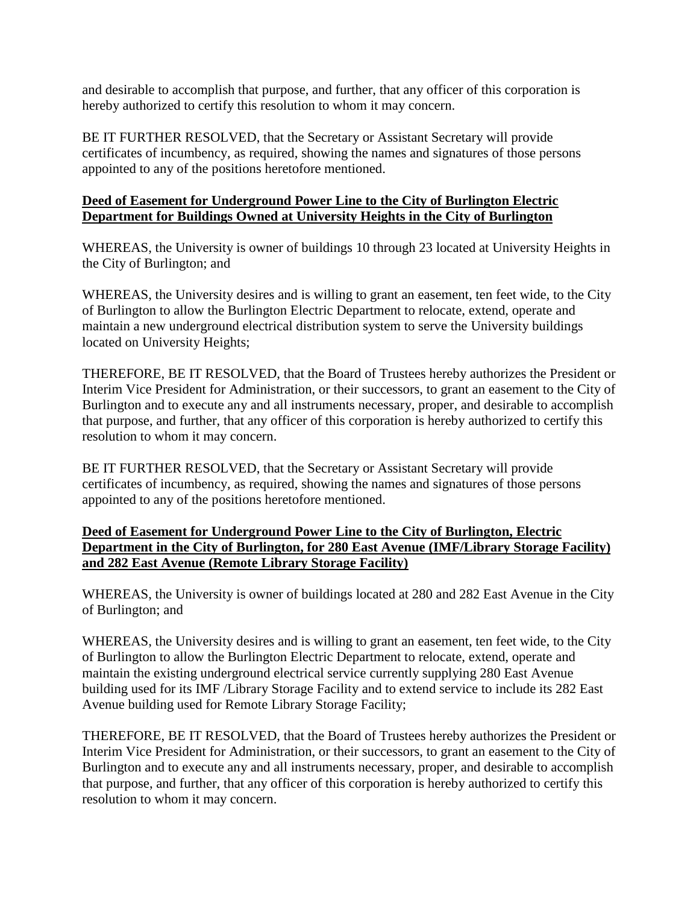<span id="page-6-0"></span>and desirable to accomplish that purpose, and further, that any officer of this corporation is hereby authorized to certify this resolution to whom it may concern.

BE IT FURTHER RESOLVED, that the Secretary or Assistant Secretary will provide certificates of incumbency, as required, showing the names and signatures of those persons appointed to any of the positions heretofore mentioned.

# **Deed of Easement for Underground Power Line to the City of Burlington Electric Department for Buildings Owned at University Heights in the City of Burlington**

WHEREAS, the University is owner of buildings 10 through 23 located at University Heights in the City of Burlington; and

WHEREAS, the University desires and is willing to grant an easement, ten feet wide, to the City of Burlington to allow the Burlington Electric Department to relocate, extend, operate and maintain a new underground electrical distribution system to serve the University buildings located on University Heights;

THEREFORE, BE IT RESOLVED, that the Board of Trustees hereby authorizes the President or Interim Vice President for Administration, or their successors, to grant an easement to the City of Burlington and to execute any and all instruments necessary, proper, and desirable to accomplish that purpose, and further, that any officer of this corporation is hereby authorized to certify this resolution to whom it may concern.

BE IT FURTHER RESOLVED, that the Secretary or Assistant Secretary will provide certificates of incumbency, as required, showing the names and signatures of those persons appointed to any of the positions heretofore mentioned.

# **Deed of Easement for Underground Power Line to the City of Burlington, Electric Department in the City of Burlington, for 280 East Avenue (IMF/Library Storage Facility) and 282 East Avenue (Remote Library Storage Facility)**

WHEREAS, the University is owner of buildings located at 280 and 282 East Avenue in the City of Burlington; and

WHEREAS, the University desires and is willing to grant an easement, ten feet wide, to the City of Burlington to allow the Burlington Electric Department to relocate, extend, operate and maintain the existing underground electrical service currently supplying 280 East Avenue building used for its IMF /Library Storage Facility and to extend service to include its 282 East Avenue building used for Remote Library Storage Facility;

THEREFORE, BE IT RESOLVED, that the Board of Trustees hereby authorizes the President or Interim Vice President for Administration, or their successors, to grant an easement to the City of Burlington and to execute any and all instruments necessary, proper, and desirable to accomplish that purpose, and further, that any officer of this corporation is hereby authorized to certify this resolution to whom it may concern.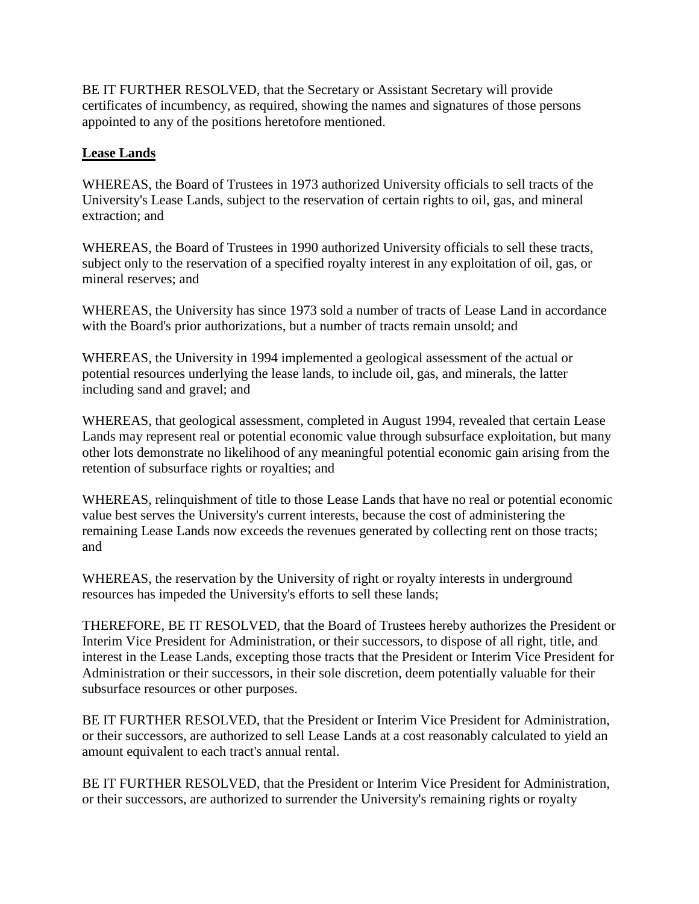BE IT FURTHER RESOLVED, that the Secretary or Assistant Secretary will provide certificates of incumbency, as required, showing the names and signatures of those persons appointed to any of the positions heretofore mentioned.

# **Lease Lands**

WHEREAS, the Board of Trustees in 1973 authorized University officials to sell tracts of the University's Lease Lands, subject to the reservation of certain rights to oil, gas, and mineral extraction; and

WHEREAS, the Board of Trustees in 1990 authorized University officials to sell these tracts, subject only to the reservation of a specified royalty interest in any exploitation of oil, gas, or mineral reserves; and

WHEREAS, the University has since 1973 sold a number of tracts of Lease Land in accordance with the Board's prior authorizations, but a number of tracts remain unsold; and

WHEREAS, the University in 1994 implemented a geological assessment of the actual or potential resources underlying the lease lands, to include oil, gas, and minerals, the latter including sand and gravel; and

WHEREAS, that geological assessment, completed in August 1994, revealed that certain Lease Lands may represent real or potential economic value through subsurface exploitation, but many other lots demonstrate no likelihood of any meaningful potential economic gain arising from the retention of subsurface rights or royalties; and

WHEREAS, relinquishment of title to those Lease Lands that have no real or potential economic value best serves the University's current interests, because the cost of administering the remaining Lease Lands now exceeds the revenues generated by collecting rent on those tracts; and

WHEREAS, the reservation by the University of right or royalty interests in underground resources has impeded the University's efforts to sell these lands;

THEREFORE, BE IT RESOLVED, that the Board of Trustees hereby authorizes the President or Interim Vice President for Administration, or their successors, to dispose of all right, title, and interest in the Lease Lands, excepting those tracts that the President or Interim Vice President for Administration or their successors, in their sole discretion, deem potentially valuable for their subsurface resources or other purposes.

BE IT FURTHER RESOLVED, that the President or Interim Vice President for Administration, or their successors, are authorized to sell Lease Lands at a cost reasonably calculated to yield an amount equivalent to each tract's annual rental.

BE IT FURTHER RESOLVED, that the President or Interim Vice President for Administration, or their successors, are authorized to surrender the University's remaining rights or royalty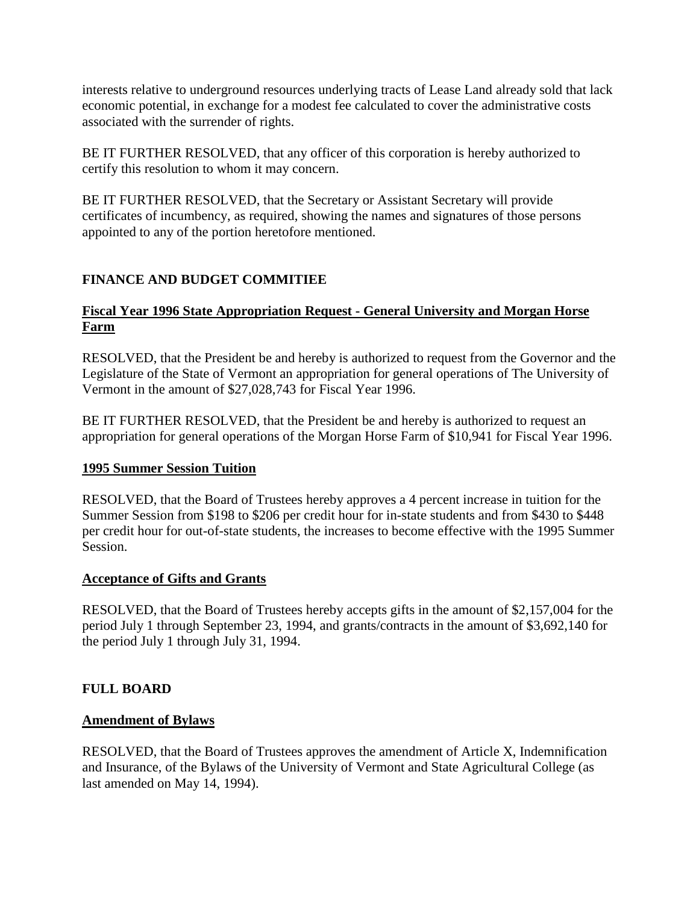<span id="page-8-0"></span>interests relative to underground resources underlying tracts of Lease Land already sold that lack economic potential, in exchange for a modest fee calculated to cover the administrative costs associated with the surrender of rights.

BE IT FURTHER RESOLVED, that any officer of this corporation is hereby authorized to certify this resolution to whom it may concern.

BE IT FURTHER RESOLVED, that the Secretary or Assistant Secretary will provide certificates of incumbency, as required, showing the names and signatures of those persons appointed to any of the portion heretofore mentioned.

# **FINANCE AND BUDGET COMMITIEE**

# **Fiscal Year 1996 State Appropriation Request - General University and Morgan Horse Farm**

RESOLVED, that the President be and hereby is authorized to request from the Governor and the Legislature of the State of Vermont an appropriation for general operations of The University of Vermont in the amount of \$27,028,743 for Fiscal Year 1996.

BE IT FURTHER RESOLVED, that the President be and hereby is authorized to request an appropriation for general operations of the Morgan Horse Farm of \$10,941 for Fiscal Year 1996.

# **1995 Summer Session Tuition**

RESOLVED, that the Board of Trustees hereby approves a 4 percent increase in tuition for the Summer Session from \$198 to \$206 per credit hour for in-state students and from \$430 to \$448 per credit hour for out-of-state students, the increases to become effective with the 1995 Summer Session.

# **Acceptance of Gifts and Grants**

RESOLVED, that the Board of Trustees hereby accepts gifts in the amount of \$2,157,004 for the period July 1 through September 23, 1994, and grants/contracts in the amount of \$3,692,140 for the period July 1 through July 31, 1994.

# **FULL BOARD**

# **Amendment of Bylaws**

RESOLVED, that the Board of Trustees approves the amendment of Article X, Indemnification and Insurance, of the Bylaws of the University of Vermont and State Agricultural College (as last amended on May 14, 1994).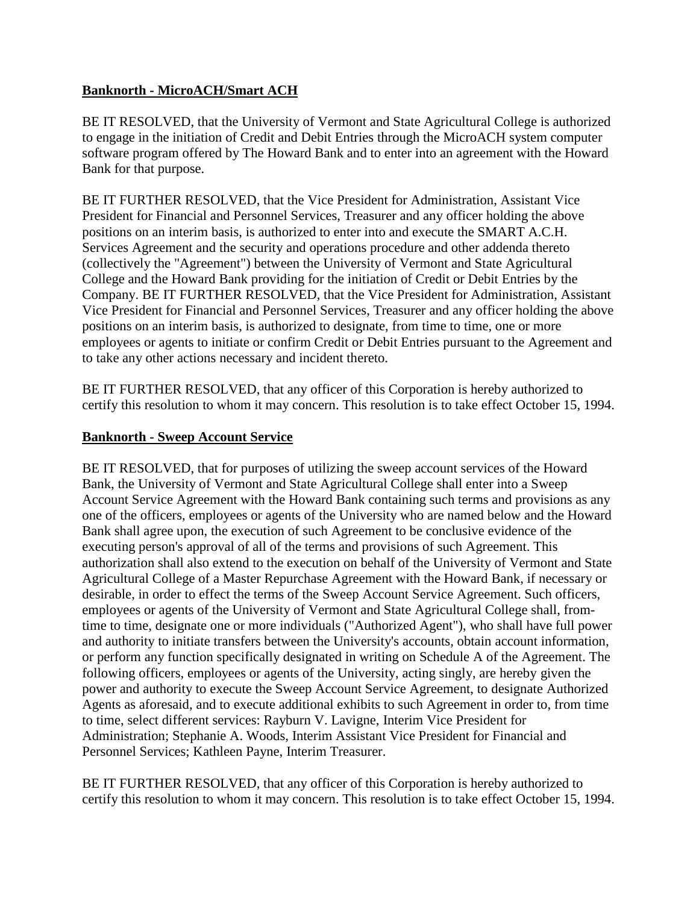# <span id="page-9-0"></span>**Banknorth - MicroACH/Smart ACH**

BE IT RESOLVED, that the University of Vermont and State Agricultural College is authorized to engage in the initiation of Credit and Debit Entries through the MicroACH system computer software program offered by The Howard Bank and to enter into an agreement with the Howard Bank for that purpose.

BE IT FURTHER RESOLVED, that the Vice President for Administration, Assistant Vice President for Financial and Personnel Services, Treasurer and any officer holding the above positions on an interim basis, is authorized to enter into and execute the SMART A.C.H. Services Agreement and the security and operations procedure and other addenda thereto (collectively the "Agreement") between the University of Vermont and State Agricultural College and the Howard Bank providing for the initiation of Credit or Debit Entries by the Company. BE IT FURTHER RESOLVED, that the Vice President for Administration, Assistant Vice President for Financial and Personnel Services, Treasurer and any officer holding the above positions on an interim basis, is authorized to designate, from time to time, one or more employees or agents to initiate or confirm Credit or Debit Entries pursuant to the Agreement and to take any other actions necessary and incident thereto.

BE IT FURTHER RESOLVED, that any officer of this Corporation is hereby authorized to certify this resolution to whom it may concern. This resolution is to take effect October 15, 1994.

# **Banknorth - Sweep Account Service**

BE IT RESOLVED, that for purposes of utilizing the sweep account services of the Howard Bank, the University of Vermont and State Agricultural College shall enter into a Sweep Account Service Agreement with the Howard Bank containing such terms and provisions as any one of the officers, employees or agents of the University who are named below and the Howard Bank shall agree upon, the execution of such Agreement to be conclusive evidence of the executing person's approval of all of the terms and provisions of such Agreement. This authorization shall also extend to the execution on behalf of the University of Vermont and State Agricultural College of a Master Repurchase Agreement with the Howard Bank, if necessary or desirable, in order to effect the terms of the Sweep Account Service Agreement. Such officers, employees or agents of the University of Vermont and State Agricultural College shall, fromtime to time, designate one or more individuals ("Authorized Agent"), who shall have full power and authority to initiate transfers between the University's accounts, obtain account information, or perform any function specifically designated in writing on Schedule A of the Agreement. The following officers, employees or agents of the University, acting singly, are hereby given the power and authority to execute the Sweep Account Service Agreement, to designate Authorized Agents as aforesaid, and to execute additional exhibits to such Agreement in order to, from time to time, select different services: Rayburn V. Lavigne, Interim Vice President for Administration; Stephanie A. Woods, Interim Assistant Vice President for Financial and Personnel Services; Kathleen Payne, Interim Treasurer.

BE IT FURTHER RESOLVED, that any officer of this Corporation is hereby authorized to certify this resolution to whom it may concern. This resolution is to take effect October 15, 1994.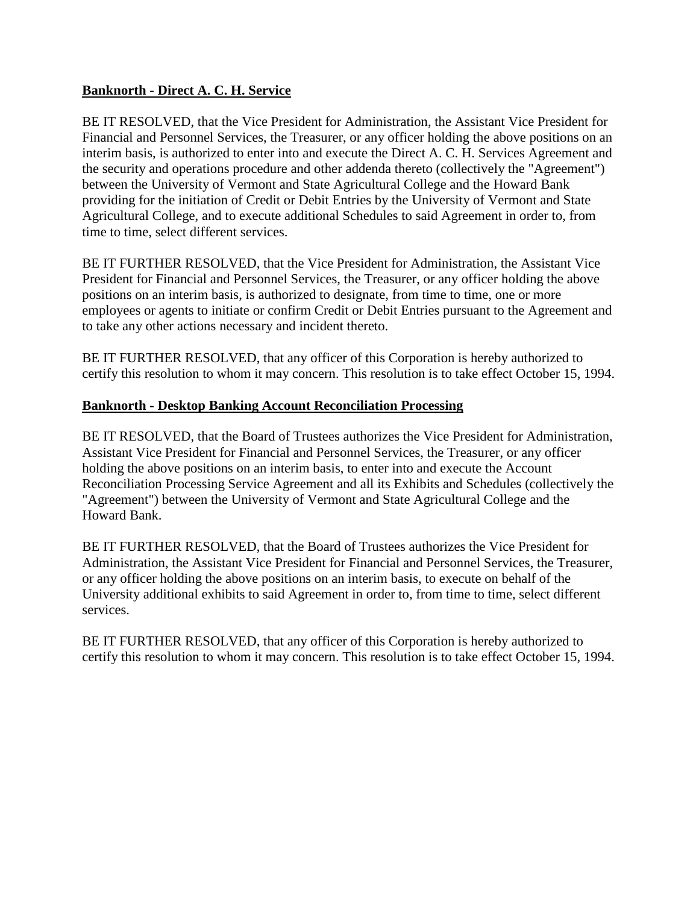## <span id="page-10-0"></span>**Banknorth - Direct A. C. H. Service**

BE IT RESOLVED, that the Vice President for Administration, the Assistant Vice President for Financial and Personnel Services, the Treasurer, or any officer holding the above positions on an interim basis, is authorized to enter into and execute the Direct A. C. H. Services Agreement and the security and operations procedure and other addenda thereto (collectively the "Agreement") between the University of Vermont and State Agricultural College and the Howard Bank providing for the initiation of Credit or Debit Entries by the University of Vermont and State Agricultural College, and to execute additional Schedules to said Agreement in order to, from time to time, select different services.

BE IT FURTHER RESOLVED, that the Vice President for Administration, the Assistant Vice President for Financial and Personnel Services, the Treasurer, or any officer holding the above positions on an interim basis, is authorized to designate, from time to time, one or more employees or agents to initiate or confirm Credit or Debit Entries pursuant to the Agreement and to take any other actions necessary and incident thereto.

BE IT FURTHER RESOLVED, that any officer of this Corporation is hereby authorized to certify this resolution to whom it may concern. This resolution is to take effect October 15, 1994.

### **Banknorth - Desktop Banking Account Reconciliation Processing**

BE IT RESOLVED, that the Board of Trustees authorizes the Vice President for Administration, Assistant Vice President for Financial and Personnel Services, the Treasurer, or any officer holding the above positions on an interim basis, to enter into and execute the Account Reconciliation Processing Service Agreement and all its Exhibits and Schedules (collectively the "Agreement") between the University of Vermont and State Agricultural College and the Howard Bank.

BE IT FURTHER RESOLVED, that the Board of Trustees authorizes the Vice President for Administration, the Assistant Vice President for Financial and Personnel Services, the Treasurer, or any officer holding the above positions on an interim basis, to execute on behalf of the University additional exhibits to said Agreement in order to, from time to time, select different services.

BE IT FURTHER RESOLVED, that any officer of this Corporation is hereby authorized to certify this resolution to whom it may concern. This resolution is to take effect October 15, 1994.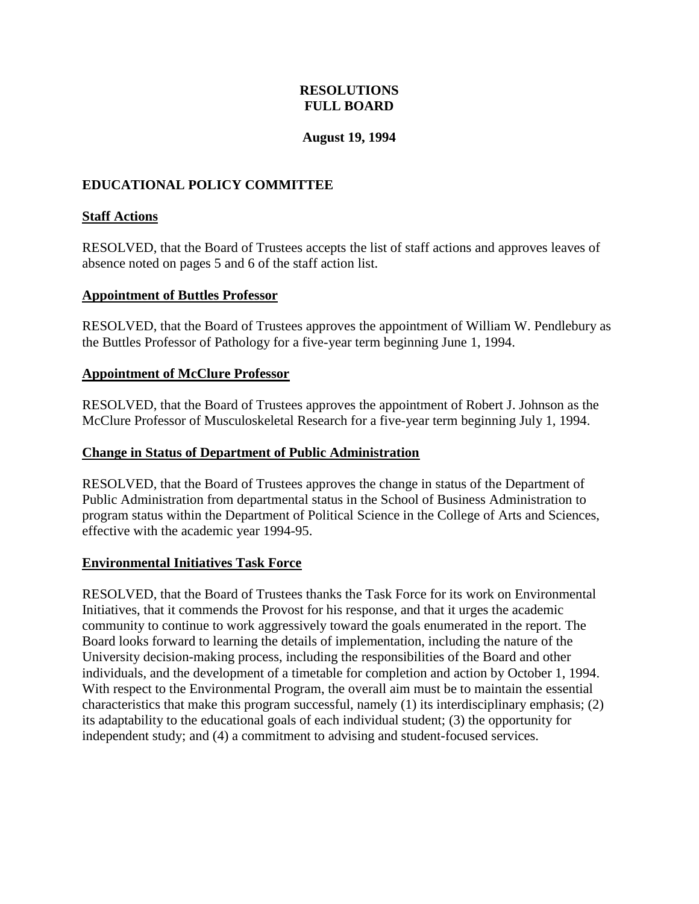# **RESOLUTIONS FULL BOARD**

### **August 19, 1994**

# <span id="page-11-0"></span>**EDUCATIONAL POLICY COMMITTEE**

## **Staff Actions**

RESOLVED, that the Board of Trustees accepts the list of staff actions and approves leaves of absence noted on pages 5 and 6 of the staff action list.

### **Appointment of Buttles Professor**

RESOLVED, that the Board of Trustees approves the appointment of William W. Pendlebury as the Buttles Professor of Pathology for a five-year term beginning June 1, 1994.

### **Appointment of McClure Professor**

RESOLVED, that the Board of Trustees approves the appointment of Robert J. Johnson as the McClure Professor of Musculoskeletal Research for a five-year term beginning July 1, 1994.

### **Change in Status of Department of Public Administration**

RESOLVED, that the Board of Trustees approves the change in status of the Department of Public Administration from departmental status in the School of Business Administration to program status within the Department of Political Science in the College of Arts and Sciences, effective with the academic year 1994-95.

### **Environmental Initiatives Task Force**

RESOLVED, that the Board of Trustees thanks the Task Force for its work on Environmental Initiatives, that it commends the Provost for his response, and that it urges the academic community to continue to work aggressively toward the goals enumerated in the report. The Board looks forward to learning the details of implementation, including the nature of the University decision-making process, including the responsibilities of the Board and other individuals, and the development of a timetable for completion and action by October 1, 1994. With respect to the Environmental Program, the overall aim must be to maintain the essential characteristics that make this program successful, namely (1) its interdisciplinary emphasis; (2) its adaptability to the educational goals of each individual student; (3) the opportunity for independent study; and (4) a commitment to advising and student-focused services.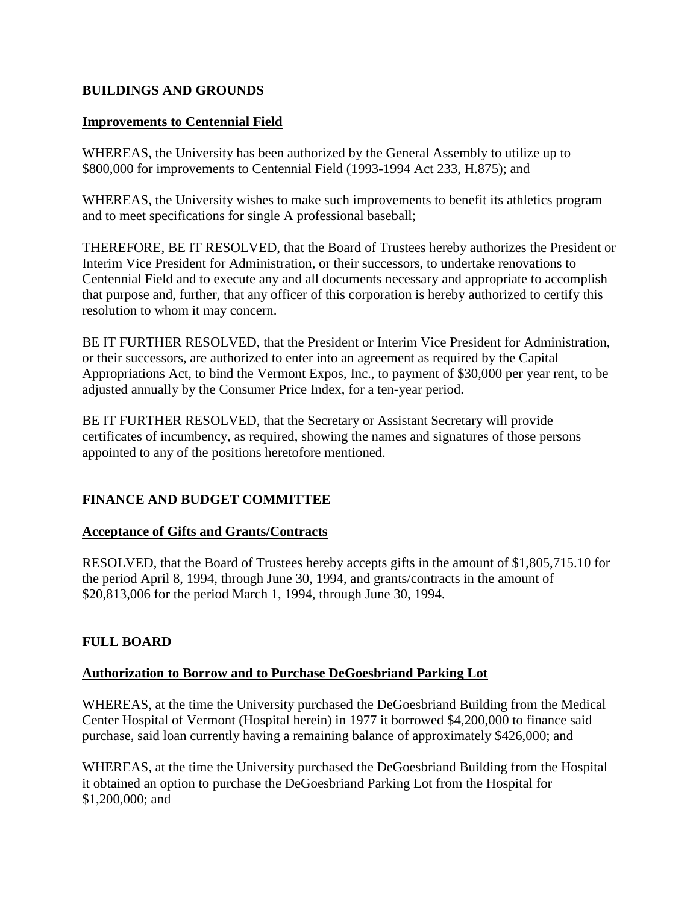# <span id="page-12-0"></span>**BUILDINGS AND GROUNDS**

### **Improvements to Centennial Field**

WHEREAS, the University has been authorized by the General Assembly to utilize up to \$800,000 for improvements to Centennial Field (1993-1994 Act 233, H.875); and

WHEREAS, the University wishes to make such improvements to benefit its athletics program and to meet specifications for single A professional baseball;

THEREFORE, BE IT RESOLVED, that the Board of Trustees hereby authorizes the President or Interim Vice President for Administration, or their successors, to undertake renovations to Centennial Field and to execute any and all documents necessary and appropriate to accomplish that purpose and, further, that any officer of this corporation is hereby authorized to certify this resolution to whom it may concern.

BE IT FURTHER RESOLVED, that the President or Interim Vice President for Administration, or their successors, are authorized to enter into an agreement as required by the Capital Appropriations Act, to bind the Vermont Expos, Inc., to payment of \$30,000 per year rent, to be adjusted annually by the Consumer Price Index, for a ten-year period.

BE IT FURTHER RESOLVED, that the Secretary or Assistant Secretary will provide certificates of incumbency, as required, showing the names and signatures of those persons appointed to any of the positions heretofore mentioned.

# **FINANCE AND BUDGET COMMITTEE**

# **Acceptance of Gifts and Grants/Contracts**

RESOLVED, that the Board of Trustees hereby accepts gifts in the amount of \$1,805,715.10 for the period April 8, 1994, through June 30, 1994, and grants/contracts in the amount of \$20,813,006 for the period March 1, 1994, through June 30, 1994.

# **FULL BOARD**

### **Authorization to Borrow and to Purchase DeGoesbriand Parking Lot**

WHEREAS, at the time the University purchased the DeGoesbriand Building from the Medical Center Hospital of Vermont (Hospital herein) in 1977 it borrowed \$4,200,000 to finance said purchase, said loan currently having a remaining balance of approximately \$426,000; and

WHEREAS, at the time the University purchased the DeGoesbriand Building from the Hospital it obtained an option to purchase the DeGoesbriand Parking Lot from the Hospital for \$1,200,000; and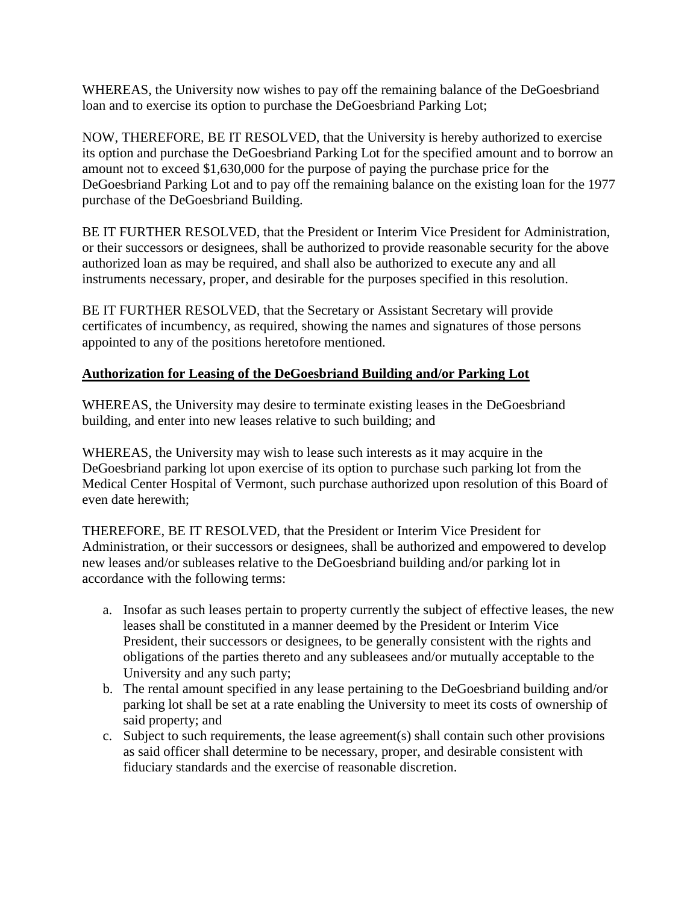<span id="page-13-0"></span>WHEREAS, the University now wishes to pay off the remaining balance of the DeGoesbriand loan and to exercise its option to purchase the DeGoesbriand Parking Lot;

NOW, THEREFORE, BE IT RESOLVED, that the University is hereby authorized to exercise its option and purchase the DeGoesbriand Parking Lot for the specified amount and to borrow an amount not to exceed \$1,630,000 for the purpose of paying the purchase price for the DeGoesbriand Parking Lot and to pay off the remaining balance on the existing loan for the 1977 purchase of the DeGoesbriand Building.

BE IT FURTHER RESOLVED, that the President or Interim Vice President for Administration, or their successors or designees, shall be authorized to provide reasonable security for the above authorized loan as may be required, and shall also be authorized to execute any and all instruments necessary, proper, and desirable for the purposes specified in this resolution.

BE IT FURTHER RESOLVED, that the Secretary or Assistant Secretary will provide certificates of incumbency, as required, showing the names and signatures of those persons appointed to any of the positions heretofore mentioned.

# **Authorization for Leasing of the DeGoesbriand Building and/or Parking Lot**

WHEREAS, the University may desire to terminate existing leases in the DeGoesbriand building, and enter into new leases relative to such building; and

WHEREAS, the University may wish to lease such interests as it may acquire in the DeGoesbriand parking lot upon exercise of its option to purchase such parking lot from the Medical Center Hospital of Vermont, such purchase authorized upon resolution of this Board of even date herewith;

THEREFORE, BE IT RESOLVED, that the President or Interim Vice President for Administration, or their successors or designees, shall be authorized and empowered to develop new leases and/or subleases relative to the DeGoesbriand building and/or parking lot in accordance with the following terms:

- a. Insofar as such leases pertain to property currently the subject of effective leases, the new leases shall be constituted in a manner deemed by the President or Interim Vice President, their successors or designees, to be generally consistent with the rights and obligations of the parties thereto and any subleasees and/or mutually acceptable to the University and any such party;
- b. The rental amount specified in any lease pertaining to the DeGoesbriand building and/or parking lot shall be set at a rate enabling the University to meet its costs of ownership of said property; and
- c. Subject to such requirements, the lease agreement(s) shall contain such other provisions as said officer shall determine to be necessary, proper, and desirable consistent with fiduciary standards and the exercise of reasonable discretion.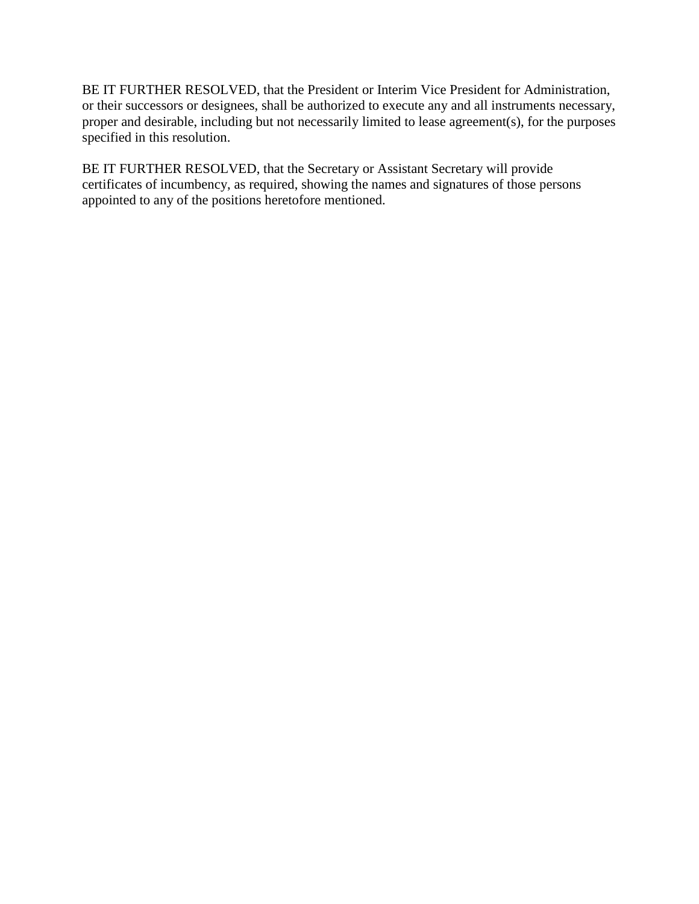<span id="page-14-0"></span>BE IT FURTHER RESOLVED, that the President or Interim Vice President for Administration, or their successors or designees, shall be authorized to execute any and all instruments necessary, proper and desirable, including but not necessarily limited to lease agreement(s), for the purposes specified in this resolution.

BE IT FURTHER RESOLVED, that the Secretary or Assistant Secretary will provide certificates of incumbency, as required, showing the names and signatures of those persons appointed to any of the positions heretofore mentioned.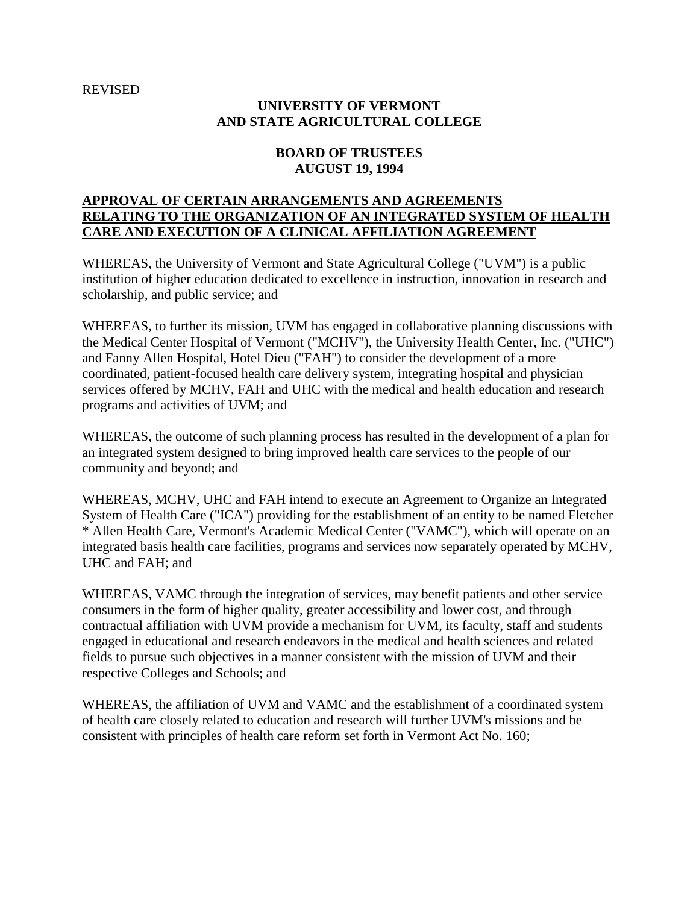#### REVISED

# **UNIVERSITY OF VERMONT AND STATE AGRICULTURAL COLLEGE**

### **BOARD OF TRUSTEES AUGUST 19, 1994**

### **APPROVAL OF CERTAIN ARRANGEMENTS AND AGREEMENTS RELATING TO THE ORGANIZATION OF AN INTEGRATED SYSTEM OF HEALTH CARE AND EXECUTION OF A CLINICAL AFFILIATION AGREEMENT**

WHEREAS, the University of Vermont and State Agricultural College ("UVM") is a public institution of higher education dedicated to excellence in instruction, innovation in research and scholarship, and public service; and

WHEREAS, to further its mission, UVM has engaged in collaborative planning discussions with the Medical Center Hospital of Vermont ("MCHV"), the University Health Center, Inc. ("UHC") and Fanny Allen Hospital, Hotel Dieu ("FAH") to consider the development of a more coordinated, patient-focused health care delivery system, integrating hospital and physician services offered by MCHV, FAH and UHC with the medical and health education and research programs and activities of UVM; and

WHEREAS, the outcome of such planning process has resulted in the development of a plan for an integrated system designed to bring improved health care services to the people of our community and beyond; and

WHEREAS, MCHV, UHC and FAH intend to execute an Agreement to Organize an Integrated System of Health Care ("ICA") providing for the establishment of an entity to be named Fletcher \* Allen Health Care, Vermont's Academic Medical Center ("VAMC"), which will operate on an integrated basis health care facilities, programs and services now separately operated by MCHV, UHC and FAH; and

WHEREAS, VAMC through the integration of services, may benefit patients and other service consumers in the form of higher quality, greater accessibility and lower cost, and through contractual affiliation with UVM provide a mechanism for UVM, its faculty, staff and students engaged in educational and research endeavors in the medical and health sciences and related fields to pursue such objectives in a manner consistent with the mission of UVM and their respective Colleges and Schools; and

WHEREAS, the affiliation of UVM and VAMC and the establishment of a coordinated system of health care closely related to education and research will further UVM's missions and be consistent with principles of health care reform set forth in Vermont Act No. 160;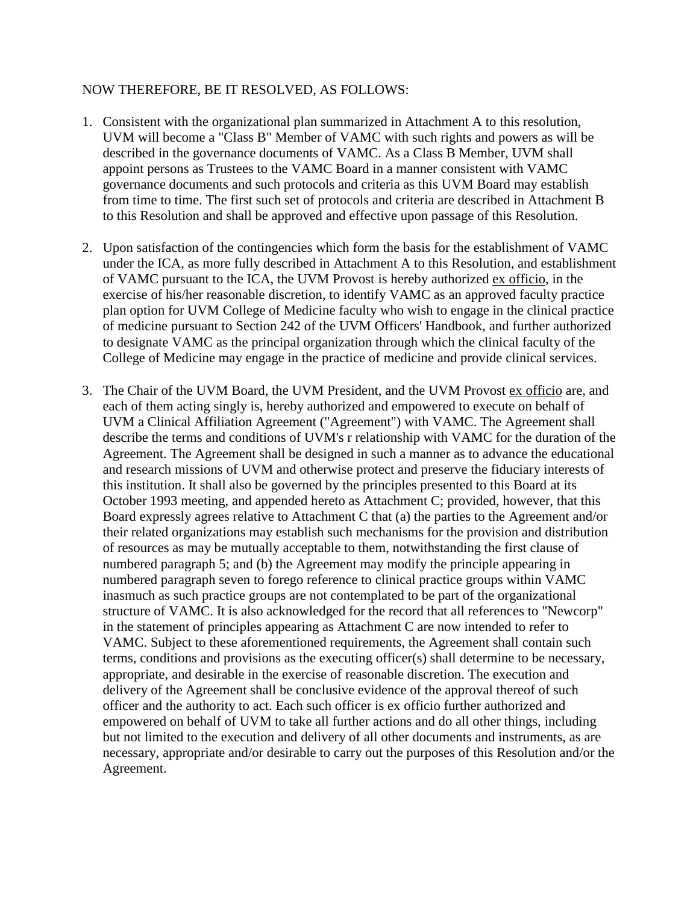#### NOW THEREFORE, BE IT RESOLVED, AS FOLLOWS:

- 1. Consistent with the organizational plan summarized in Attachment A to this resolution, UVM will become a "Class B" Member of VAMC with such rights and powers as will be described in the governance documents of VAMC. As a Class B Member, UVM shall appoint persons as Trustees to the VAMC Board in a manner consistent with VAMC governance documents and such protocols and criteria as this UVM Board may establish from time to time. The first such set of protocols and criteria are described in Attachment B to this Resolution and shall be approved and effective upon passage of this Resolution.
- 2. Upon satisfaction of the contingencies which form the basis for the establishment of VAMC under the ICA, as more fully described in Attachment A to this Resolution, and establishment of VAMC pursuant to the ICA, the UVM Provost is hereby authorized ex officio, in the exercise of his/her reasonable discretion, to identify VAMC as an approved faculty practice plan option for UVM College of Medicine faculty who wish to engage in the clinical practice of medicine pursuant to Section 242 of the UVM Officers' Handbook, and further authorized to designate VAMC as the principal organization through which the clinical faculty of the College of Medicine may engage in the practice of medicine and provide clinical services.
- 3. The Chair of the UVM Board, the UVM President, and the UVM Provost ex officio are, and each of them acting singly is, hereby authorized and empowered to execute on behalf of UVM a Clinical Affiliation Agreement ("Agreement") with VAMC. The Agreement shall describe the terms and conditions of UVM's r relationship with VAMC for the duration of the Agreement. The Agreement shall be designed in such a manner as to advance the educational and research missions of UVM and otherwise protect and preserve the fiduciary interests of this institution. It shall also be governed by the principles presented to this Board at its October 1993 meeting, and appended hereto as Attachment C; provided, however, that this Board expressly agrees relative to Attachment C that (a) the parties to the Agreement and/or their related organizations may establish such mechanisms for the provision and distribution of resources as may be mutually acceptable to them, notwithstanding the first clause of numbered paragraph 5; and (b) the Agreement may modify the principle appearing in numbered paragraph seven to forego reference to clinical practice groups within VAMC inasmuch as such practice groups are not contemplated to be part of the organizational structure of VAMC. It is also acknowledged for the record that all references to "Newcorp" in the statement of principles appearing as Attachment C are now intended to refer to VAMC. Subject to these aforementioned requirements, the Agreement shall contain such terms, conditions and provisions as the executing officer(s) shall determine to be necessary, appropriate, and desirable in the exercise of reasonable discretion. The execution and delivery of the Agreement shall be conclusive evidence of the approval thereof of such officer and the authority to act. Each such officer is ex officio further authorized and empowered on behalf of UVM to take all further actions and do all other things, including but not limited to the execution and delivery of all other documents and instruments, as are necessary, appropriate and/or desirable to carry out the purposes of this Resolution and/or the Agreement.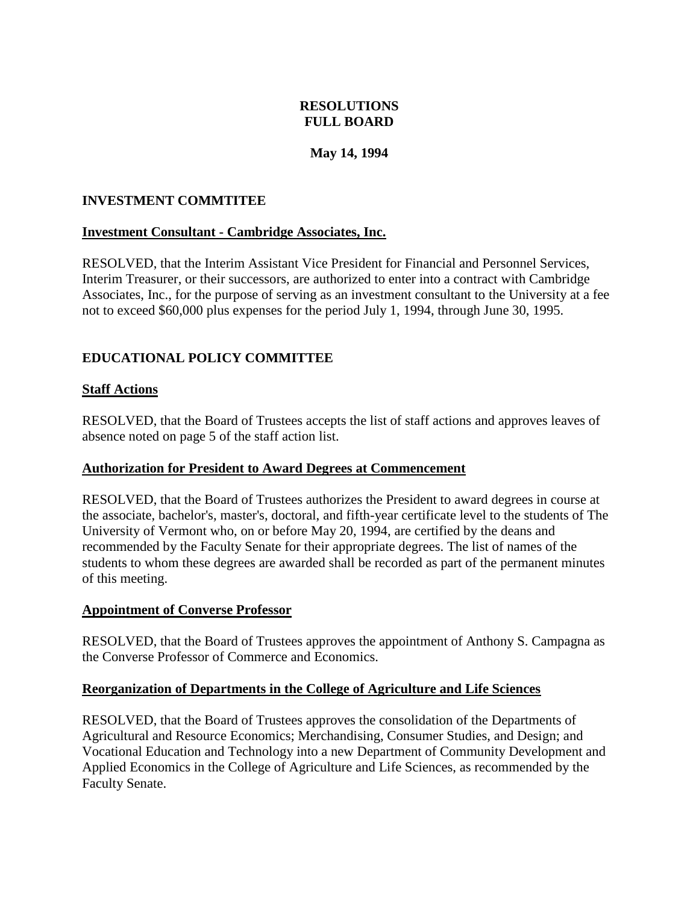# **RESOLUTIONS FULL BOARD**

## **May 14, 1994**

### <span id="page-17-0"></span>**INVESTMENT COMMTITEE**

### **Investment Consultant - Cambridge Associates, Inc.**

RESOLVED, that the Interim Assistant Vice President for Financial and Personnel Services, Interim Treasurer, or their successors, are authorized to enter into a contract with Cambridge Associates, Inc., for the purpose of serving as an investment consultant to the University at a fee not to exceed \$60,000 plus expenses for the period July 1, 1994, through June 30, 1995.

# **EDUCATIONAL POLICY COMMITTEE**

#### **Staff Actions**

RESOLVED, that the Board of Trustees accepts the list of staff actions and approves leaves of absence noted on page 5 of the staff action list.

#### **Authorization for President to Award Degrees at Commencement**

RESOLVED, that the Board of Trustees authorizes the President to award degrees in course at the associate, bachelor's, master's, doctoral, and fifth-year certificate level to the students of The University of Vermont who, on or before May 20, 1994, are certified by the deans and recommended by the Faculty Senate for their appropriate degrees. The list of names of the students to whom these degrees are awarded shall be recorded as part of the permanent minutes of this meeting.

#### **Appointment of Converse Professor**

RESOLVED, that the Board of Trustees approves the appointment of Anthony S. Campagna as the Converse Professor of Commerce and Economics.

#### **Reorganization of Departments in the College of Agriculture and Life Sciences**

RESOLVED, that the Board of Trustees approves the consolidation of the Departments of Agricultural and Resource Economics; Merchandising, Consumer Studies, and Design; and Vocational Education and Technology into a new Department of Community Development and Applied Economics in the College of Agriculture and Life Sciences, as recommended by the Faculty Senate.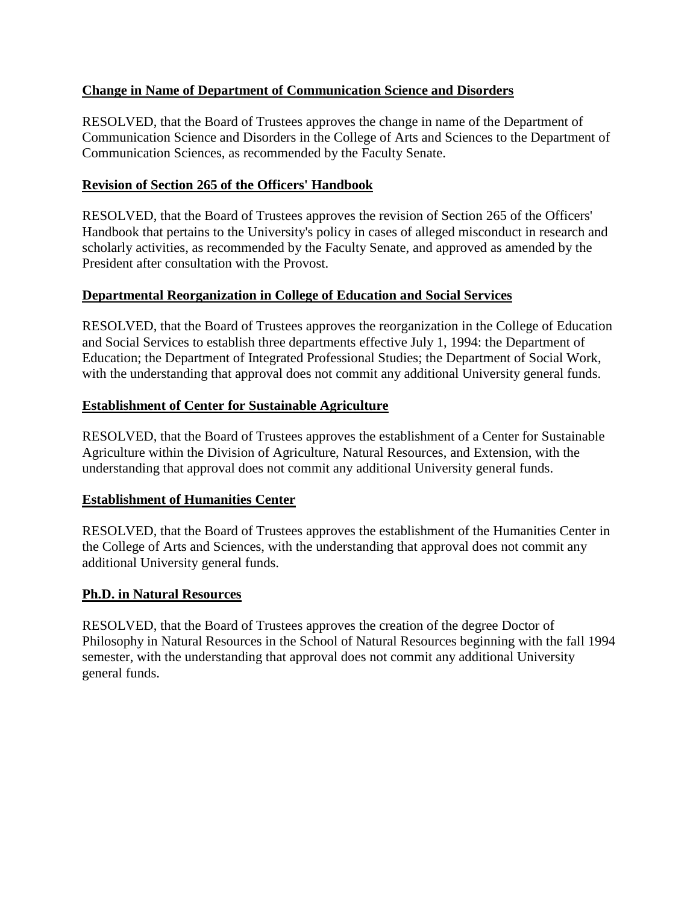# <span id="page-18-0"></span>**Change in Name of Department of Communication Science and Disorders**

RESOLVED, that the Board of Trustees approves the change in name of the Department of Communication Science and Disorders in the College of Arts and Sciences to the Department of Communication Sciences, as recommended by the Faculty Senate.

# **Revision of Section 265 of the Officers' Handbook**

RESOLVED, that the Board of Trustees approves the revision of Section 265 of the Officers' Handbook that pertains to the University's policy in cases of alleged misconduct in research and scholarly activities, as recommended by the Faculty Senate, and approved as amended by the President after consultation with the Provost.

# **Departmental Reorganization in College of Education and Social Services**

RESOLVED, that the Board of Trustees approves the reorganization in the College of Education and Social Services to establish three departments effective July 1, 1994: the Department of Education; the Department of Integrated Professional Studies; the Department of Social Work, with the understanding that approval does not commit any additional University general funds.

# **Establishment of Center for Sustainable Agriculture**

RESOLVED, that the Board of Trustees approves the establishment of a Center for Sustainable Agriculture within the Division of Agriculture, Natural Resources, and Extension, with the understanding that approval does not commit any additional University general funds.

# **Establishment of Humanities Center**

RESOLVED, that the Board of Trustees approves the establishment of the Humanities Center in the College of Arts and Sciences, with the understanding that approval does not commit any additional University general funds.

# **Ph.D. in Natural Resources**

RESOLVED, that the Board of Trustees approves the creation of the degree Doctor of Philosophy in Natural Resources in the School of Natural Resources beginning with the fall 1994 semester, with the understanding that approval does not commit any additional University general funds.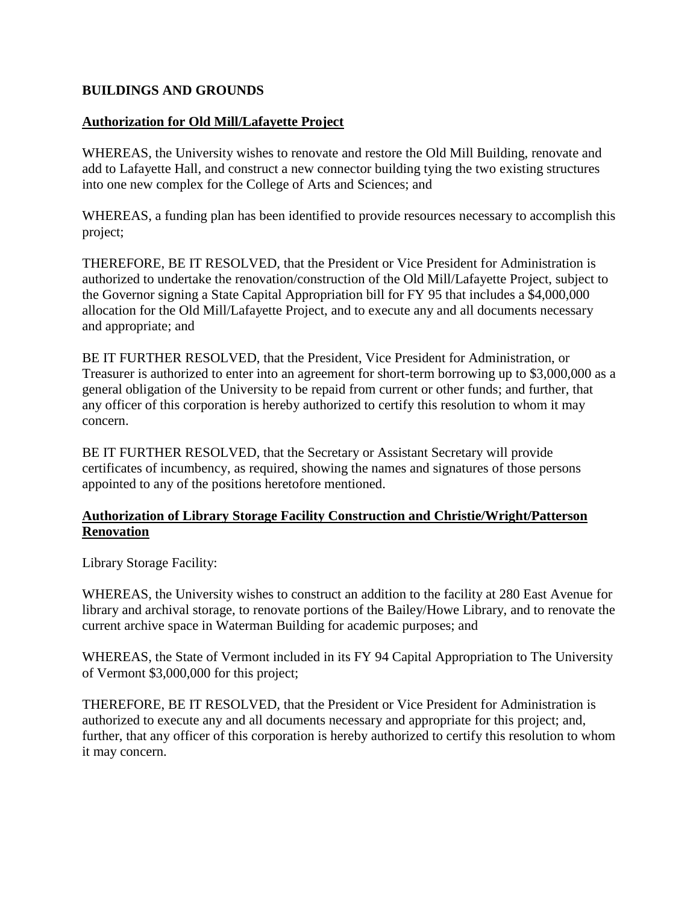## <span id="page-19-0"></span>**BUILDINGS AND GROUNDS**

### **Authorization for Old Mill/Lafayette Project**

WHEREAS, the University wishes to renovate and restore the Old Mill Building, renovate and add to Lafayette Hall, and construct a new connector building tying the two existing structures into one new complex for the College of Arts and Sciences; and

WHEREAS, a funding plan has been identified to provide resources necessary to accomplish this project;

THEREFORE, BE IT RESOLVED, that the President or Vice President for Administration is authorized to undertake the renovation/construction of the Old Mill/Lafayette Project, subject to the Governor signing a State Capital Appropriation bill for FY 95 that includes a \$4,000,000 allocation for the Old Mill/Lafayette Project, and to execute any and all documents necessary and appropriate; and

BE IT FURTHER RESOLVED, that the President, Vice President for Administration, or Treasurer is authorized to enter into an agreement for short-term borrowing up to \$3,000,000 as a general obligation of the University to be repaid from current or other funds; and further, that any officer of this corporation is hereby authorized to certify this resolution to whom it may concern.

BE IT FURTHER RESOLVED, that the Secretary or Assistant Secretary will provide certificates of incumbency, as required, showing the names and signatures of those persons appointed to any of the positions heretofore mentioned.

### **Authorization of Library Storage Facility Construction and Christie/Wright/Patterson Renovation**

Library Storage Facility:

WHEREAS, the University wishes to construct an addition to the facility at 280 East Avenue for library and archival storage, to renovate portions of the Bailey/Howe Library, and to renovate the current archive space in Waterman Building for academic purposes; and

WHEREAS, the State of Vermont included in its FY 94 Capital Appropriation to The University of Vermont \$3,000,000 for this project;

THEREFORE, BE IT RESOLVED, that the President or Vice President for Administration is authorized to execute any and all documents necessary and appropriate for this project; and, further, that any officer of this corporation is hereby authorized to certify this resolution to whom it may concern.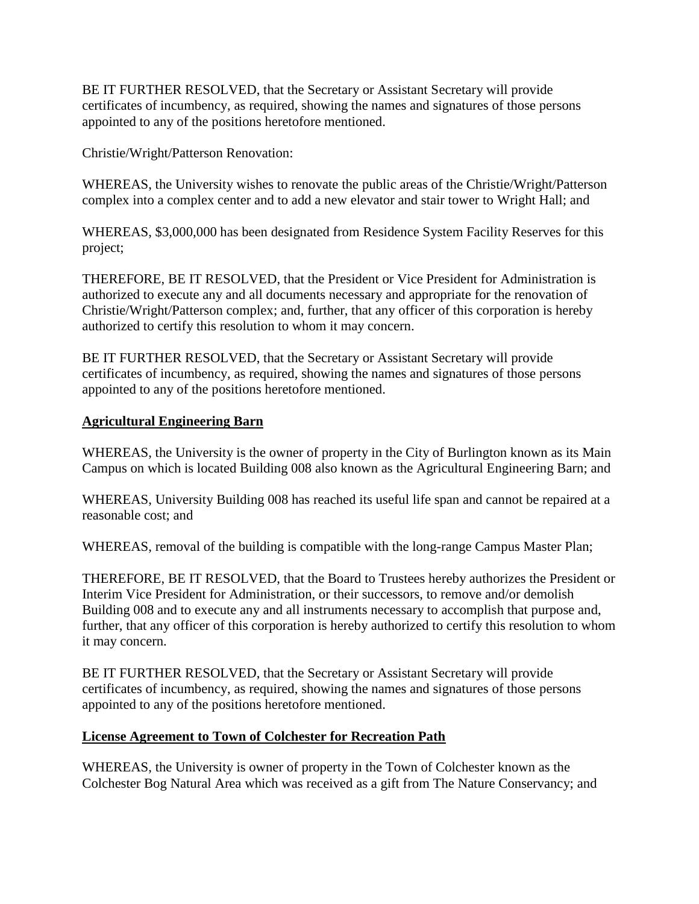<span id="page-20-0"></span>BE IT FURTHER RESOLVED, that the Secretary or Assistant Secretary will provide certificates of incumbency, as required, showing the names and signatures of those persons appointed to any of the positions heretofore mentioned.

Christie/Wright/Patterson Renovation:

WHEREAS, the University wishes to renovate the public areas of the Christie/Wright/Patterson complex into a complex center and to add a new elevator and stair tower to Wright Hall; and

WHEREAS, \$3,000,000 has been designated from Residence System Facility Reserves for this project;

THEREFORE, BE IT RESOLVED, that the President or Vice President for Administration is authorized to execute any and all documents necessary and appropriate for the renovation of Christie/Wright/Patterson complex; and, further, that any officer of this corporation is hereby authorized to certify this resolution to whom it may concern.

BE IT FURTHER RESOLVED, that the Secretary or Assistant Secretary will provide certificates of incumbency, as required, showing the names and signatures of those persons appointed to any of the positions heretofore mentioned.

### **Agricultural Engineering Barn**

WHEREAS, the University is the owner of property in the City of Burlington known as its Main Campus on which is located Building 008 also known as the Agricultural Engineering Barn; and

WHEREAS, University Building 008 has reached its useful life span and cannot be repaired at a reasonable cost; and

WHEREAS, removal of the building is compatible with the long-range Campus Master Plan;

THEREFORE, BE IT RESOLVED, that the Board to Trustees hereby authorizes the President or Interim Vice President for Administration, or their successors, to remove and/or demolish Building 008 and to execute any and all instruments necessary to accomplish that purpose and, further, that any officer of this corporation is hereby authorized to certify this resolution to whom it may concern.

BE IT FURTHER RESOLVED, that the Secretary or Assistant Secretary will provide certificates of incumbency, as required, showing the names and signatures of those persons appointed to any of the positions heretofore mentioned.

# **License Agreement to Town of Colchester for Recreation Path**

WHEREAS, the University is owner of property in the Town of Colchester known as the Colchester Bog Natural Area which was received as a gift from The Nature Conservancy; and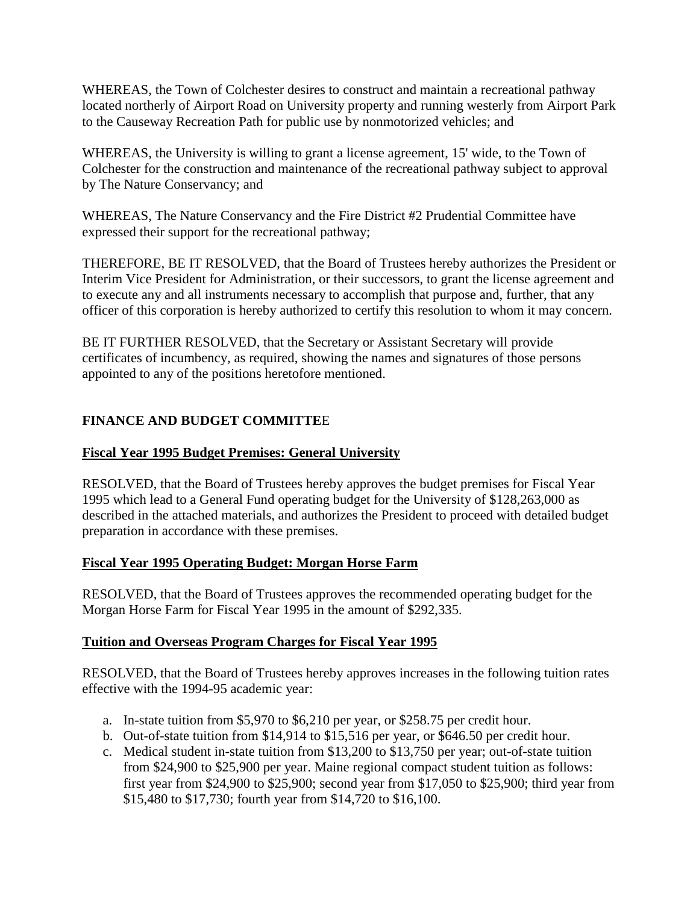<span id="page-21-0"></span>WHEREAS, the Town of Colchester desires to construct and maintain a recreational pathway located northerly of Airport Road on University property and running westerly from Airport Park to the Causeway Recreation Path for public use by nonmotorized vehicles; and

WHEREAS, the University is willing to grant a license agreement, 15' wide, to the Town of Colchester for the construction and maintenance of the recreational pathway subject to approval by The Nature Conservancy; and

WHEREAS, The Nature Conservancy and the Fire District #2 Prudential Committee have expressed their support for the recreational pathway;

THEREFORE, BE IT RESOLVED, that the Board of Trustees hereby authorizes the President or Interim Vice President for Administration, or their successors, to grant the license agreement and to execute any and all instruments necessary to accomplish that purpose and, further, that any officer of this corporation is hereby authorized to certify this resolution to whom it may concern.

BE IT FURTHER RESOLVED, that the Secretary or Assistant Secretary will provide certificates of incumbency, as required, showing the names and signatures of those persons appointed to any of the positions heretofore mentioned.

# **FINANCE AND BUDGET COMMITTE**E

# **Fiscal Year 1995 Budget Premises: General University**

RESOLVED, that the Board of Trustees hereby approves the budget premises for Fiscal Year 1995 which lead to a General Fund operating budget for the University of \$128,263,000 as described in the attached materials, and authorizes the President to proceed with detailed budget preparation in accordance with these premises.

# **Fiscal Year 1995 Operating Budget: Morgan Horse Farm**

RESOLVED, that the Board of Trustees approves the recommended operating budget for the Morgan Horse Farm for Fiscal Year 1995 in the amount of \$292,335.

# **Tuition and Overseas Program Charges for Fiscal Year 1995**

RESOLVED, that the Board of Trustees hereby approves increases in the following tuition rates effective with the 1994-95 academic year:

- a. In-state tuition from \$5,970 to \$6,210 per year, or \$258.75 per credit hour.
- b. Out-of-state tuition from \$14,914 to \$15,516 per year, or \$646.50 per credit hour.
- c. Medical student in-state tuition from \$13,200 to \$13,750 per year; out-of-state tuition from \$24,900 to \$25,900 per year. Maine regional compact student tuition as follows: first year from \$24,900 to \$25,900; second year from \$17,050 to \$25,900; third year from \$15,480 to \$17,730; fourth year from \$14,720 to \$16,100.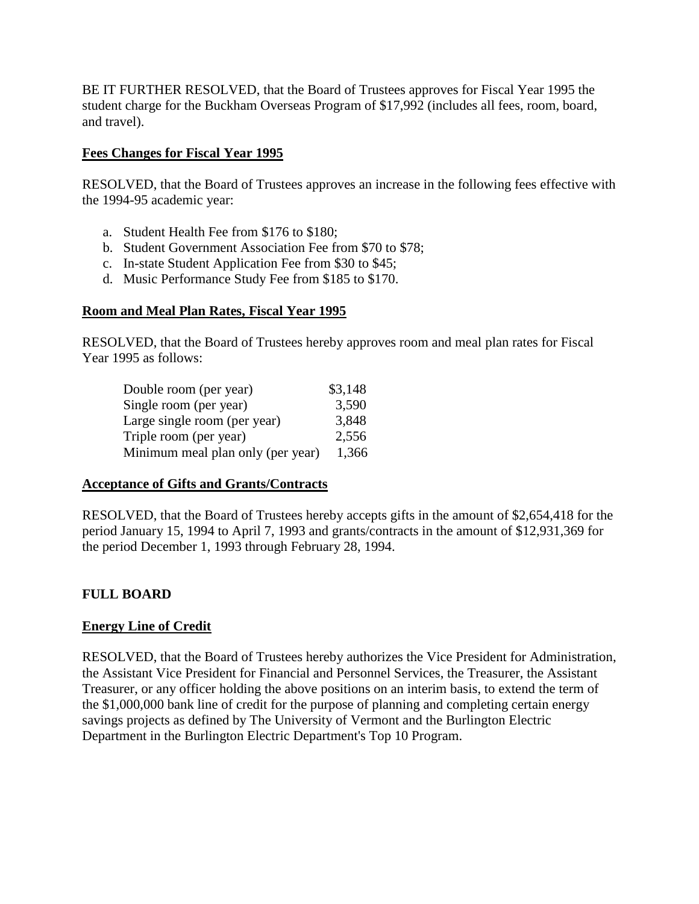<span id="page-22-0"></span>BE IT FURTHER RESOLVED, that the Board of Trustees approves for Fiscal Year 1995 the student charge for the Buckham Overseas Program of \$17,992 (includes all fees, room, board, and travel).

# **Fees Changes for Fiscal Year 1995**

RESOLVED, that the Board of Trustees approves an increase in the following fees effective with the 1994-95 academic year:

- a. Student Health Fee from \$176 to \$180;
- b. Student Government Association Fee from \$70 to \$78;
- c. In-state Student Application Fee from \$30 to \$45;
- d. Music Performance Study Fee from \$185 to \$170.

### **Room and Meal Plan Rates, Fiscal Year 1995**

RESOLVED, that the Board of Trustees hereby approves room and meal plan rates for Fiscal Year 1995 as follows:

| \$3,148 |
|---------|
| 3,590   |
| 3,848   |
| 2,556   |
| 1,366   |
|         |

### **Acceptance of Gifts and Grants/Contracts**

RESOLVED, that the Board of Trustees hereby accepts gifts in the amount of \$2,654,418 for the period January 15, 1994 to April 7, 1993 and grants/contracts in the amount of \$12,931,369 for the period December 1, 1993 through February 28, 1994.

# **FULL BOARD**

# **Energy Line of Credit**

RESOLVED, that the Board of Trustees hereby authorizes the Vice President for Administration, the Assistant Vice President for Financial and Personnel Services, the Treasurer, the Assistant Treasurer, or any officer holding the above positions on an interim basis, to extend the term of the \$1,000,000 bank line of credit for the purpose of planning and completing certain energy savings projects as defined by The University of Vermont and the Burlington Electric Department in the Burlington Electric Department's Top 10 Program.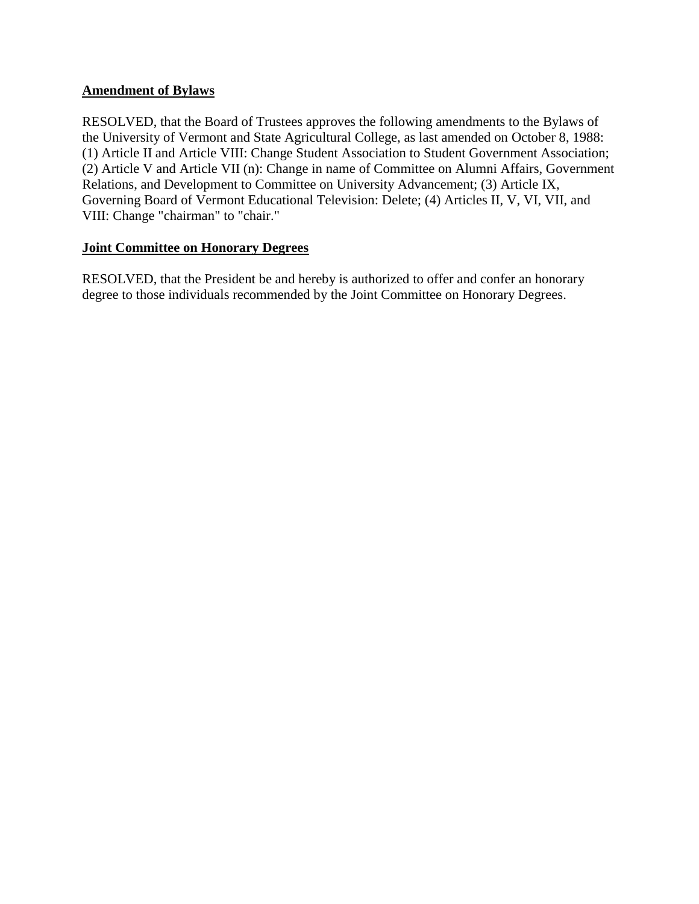## <span id="page-23-0"></span>**Amendment of Bylaws**

RESOLVED, that the Board of Trustees approves the following amendments to the Bylaws of the University of Vermont and State Agricultural College, as last amended on October 8, 1988: (1) Article II and Article VIII: Change Student Association to Student Government Association; (2) Article V and Article VII (n): Change in name of Committee on Alumni Affairs, Government Relations, and Development to Committee on University Advancement; (3) Article IX, Governing Board of Vermont Educational Television: Delete; (4) Articles II, V, VI, VII, and VIII: Change "chairman" to "chair."

### **Joint Committee on Honorary Degrees**

RESOLVED, that the President be and hereby is authorized to offer and confer an honorary degree to those individuals recommended by the Joint Committee on Honorary Degrees.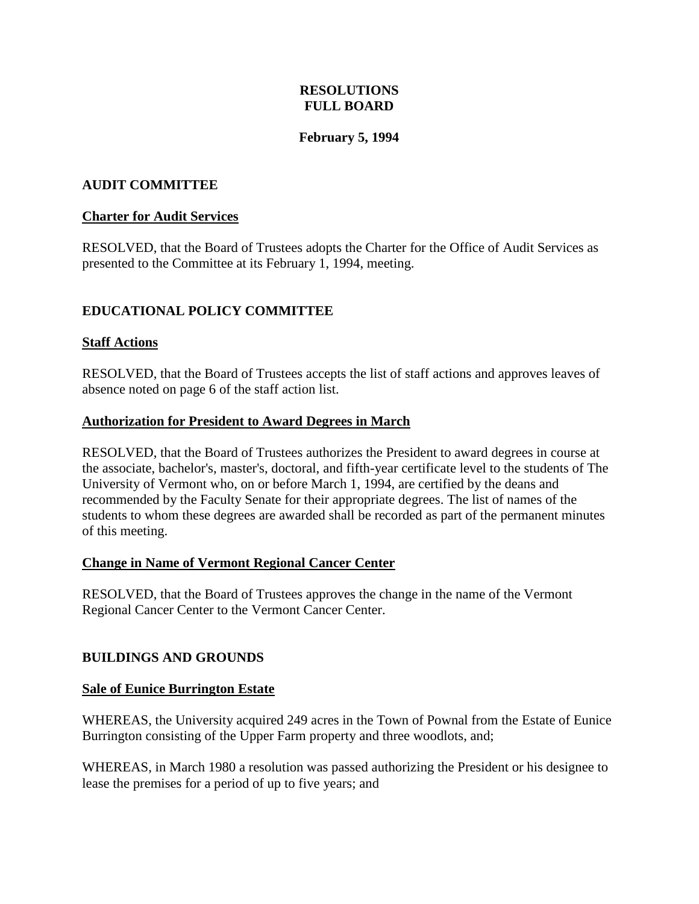# **RESOLUTIONS FULL BOARD**

# **February 5, 1994**

## <span id="page-24-0"></span>**AUDIT COMMITTEE**

### **Charter for Audit Services**

RESOLVED, that the Board of Trustees adopts the Charter for the Office of Audit Services as presented to the Committee at its February 1, 1994, meeting.

# **EDUCATIONAL POLICY COMMITTEE**

### **Staff Actions**

RESOLVED, that the Board of Trustees accepts the list of staff actions and approves leaves of absence noted on page 6 of the staff action list.

#### **Authorization for President to Award Degrees in March**

RESOLVED, that the Board of Trustees authorizes the President to award degrees in course at the associate, bachelor's, master's, doctoral, and fifth-year certificate level to the students of The University of Vermont who, on or before March 1, 1994, are certified by the deans and recommended by the Faculty Senate for their appropriate degrees. The list of names of the students to whom these degrees are awarded shall be recorded as part of the permanent minutes of this meeting.

### **Change in Name of Vermont Regional Cancer Center**

RESOLVED, that the Board of Trustees approves the change in the name of the Vermont Regional Cancer Center to the Vermont Cancer Center.

### **BUILDINGS AND GROUNDS**

#### **Sale of Eunice Burrington Estate**

WHEREAS, the University acquired 249 acres in the Town of Pownal from the Estate of Eunice Burrington consisting of the Upper Farm property and three woodlots, and;

WHEREAS, in March 1980 a resolution was passed authorizing the President or his designee to lease the premises for a period of up to five years; and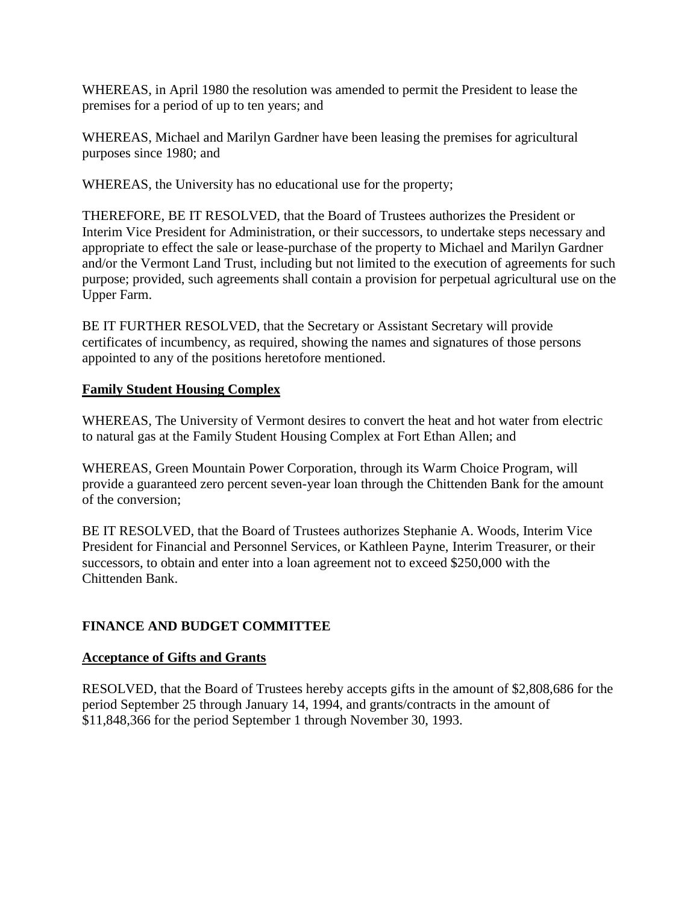<span id="page-25-0"></span>WHEREAS, in April 1980 the resolution was amended to permit the President to lease the premises for a period of up to ten years; and

WHEREAS, Michael and Marilyn Gardner have been leasing the premises for agricultural purposes since 1980; and

WHEREAS, the University has no educational use for the property;

THEREFORE, BE IT RESOLVED, that the Board of Trustees authorizes the President or Interim Vice President for Administration, or their successors, to undertake steps necessary and appropriate to effect the sale or lease-purchase of the property to Michael and Marilyn Gardner and/or the Vermont Land Trust, including but not limited to the execution of agreements for such purpose; provided, such agreements shall contain a provision for perpetual agricultural use on the Upper Farm.

BE IT FURTHER RESOLVED, that the Secretary or Assistant Secretary will provide certificates of incumbency, as required, showing the names and signatures of those persons appointed to any of the positions heretofore mentioned.

# **Family Student Housing Complex**

WHEREAS, The University of Vermont desires to convert the heat and hot water from electric to natural gas at the Family Student Housing Complex at Fort Ethan Allen; and

WHEREAS, Green Mountain Power Corporation, through its Warm Choice Program, will provide a guaranteed zero percent seven-year loan through the Chittenden Bank for the amount of the conversion;

BE IT RESOLVED, that the Board of Trustees authorizes Stephanie A. Woods, Interim Vice President for Financial and Personnel Services, or Kathleen Payne, Interim Treasurer, or their successors, to obtain and enter into a loan agreement not to exceed \$250,000 with the Chittenden Bank.

# **FINANCE AND BUDGET COMMITTEE**

# **Acceptance of Gifts and Grants**

RESOLVED, that the Board of Trustees hereby accepts gifts in the amount of \$2,808,686 for the period September 25 through January 14, 1994, and grants/contracts in the amount of \$11,848,366 for the period September 1 through November 30, 1993.